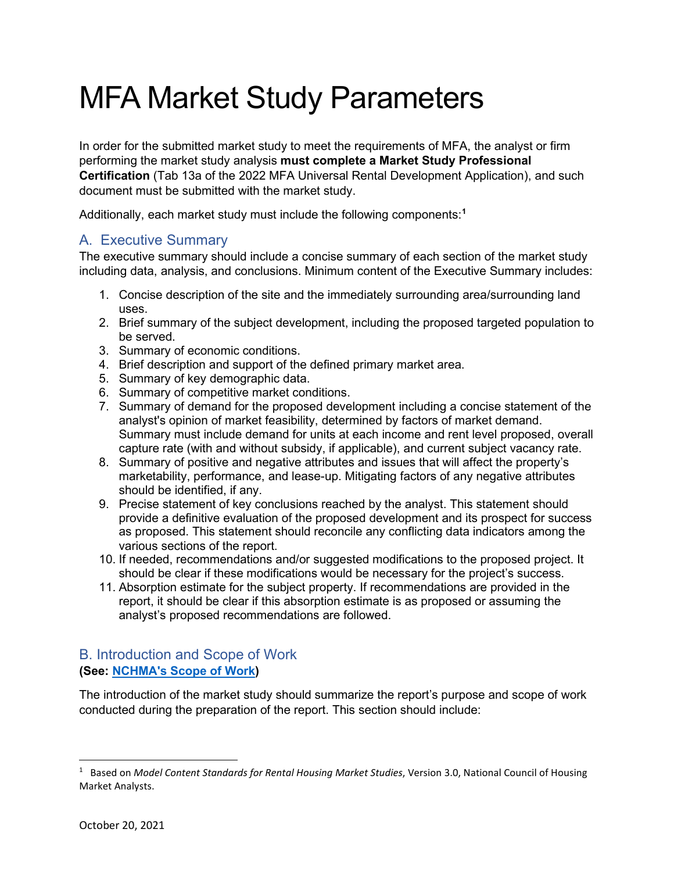# MFA Market Study Parameters

In order for the submitted market study to meet the requirements of MFA, the analyst or firm performing the market study analysis **must complete a Market Study Professional Certification** (Tab 13a of the 2022 MFA Universal Rental Development Application), and such document must be submitted with the market study.

Additionally, each market study must include the following components:**[1](#page-0-0)**

# A. Executive Summary

The executive summary should include a concise summary of each section of the market study including data, analysis, and conclusions. Minimum content of the Executive Summary includes:

- 1. Concise description of the site and the immediately surrounding area/surrounding land uses.
- 2. Brief summary of the subject development, including the proposed targeted population to be served.
- 3. Summary of economic conditions.
- 4. Brief description and support of the defined primary market area.
- 5. Summary of key demographic data.
- 6. Summary of competitive market conditions.
- 7. Summary of demand for the proposed development including a concise statement of the analyst's opinion of market feasibility, determined by factors of market demand. Summary must include demand for units at each income and rent level proposed, overall capture rate (with and without subsidy, if applicable), and current subject vacancy rate.
- 8. Summary of positive and negative attributes and issues that will affect the property's marketability, performance, and lease-up. Mitigating factors of any negative attributes should be identified, if any.
- 9. Precise statement of key conclusions reached by the analyst. This statement should provide a definitive evaluation of the proposed development and its prospect for success as proposed. This statement should reconcile any conflicting data indicators among the various sections of the report.
- 10. If needed, recommendations and/or suggested modifications to the proposed project. It should be clear if these modifications would be necessary for the project's success.
- 11. Absorption estimate for the subject property. If recommendations are provided in the report, it should be clear if this absorption estimate is as proposed or assuming the analyst's proposed recommendations are followed.

# B. Introduction and Scope of Work **(See: [NCHMA's Scope of Work\)](https://www.housingonline.com/wp-content/uploads/2014/09/Final-Model-Content-V3.0.pdf)**

The introduction of the market study should summarize the report's purpose and scope of work conducted during the preparation of the report. This section should include:

<span id="page-0-0"></span><sup>1</sup> Based on *Model Content Standards for Rental Housing Market Studies*, Version 3.0, National Council of Housing Market Analysts.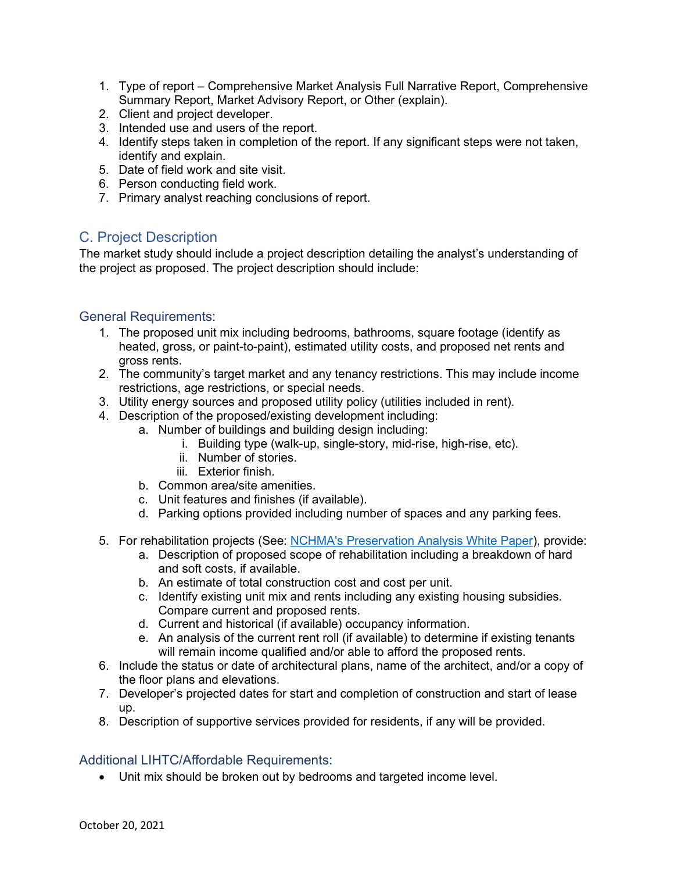- 1. Type of report Comprehensive Market Analysis Full Narrative Report, Comprehensive Summary Report, Market Advisory Report, or Other (explain).
- 2. Client and project developer.
- 3. Intended use and users of the report.
- 4. Identify steps taken in completion of the report. If any significant steps were not taken, identify and explain.
- 5. Date of field work and site visit.
- 6. Person conducting field work.
- 7. Primary analyst reaching conclusions of report.

# C. Project Description

The market study should include a project description detailing the analyst's understanding of the project as proposed. The project description should include:

## General Requirements:

- 1. The proposed unit mix including bedrooms, bathrooms, square footage (identify as heated, gross, or paint-to-paint), estimated utility costs, and proposed net rents and gross rents.
- 2. The community's target market and any tenancy restrictions. This may include income restrictions, age restrictions, or special needs.
- 3. Utility energy sources and proposed utility policy (utilities included in rent).
- 4. Description of the proposed/existing development including:
	- a. Number of buildings and building design including:
		- i. Building type (walk-up, single-story, mid-rise, high-rise, etc).
		- ii. Number of stories.
		- iii. Exterior finish.
		- b. Common area/site amenities.
		- c. Unit features and finishes (if available).
		- d. Parking options provided including number of spaces and any parking fees.
- 5. For rehabilitation projects (See: [NCHMA's Preservation Analysis White Paper\)](https://www.housingonline.com/councils/national-council-housing-market-analysts/resources/white-papers/factors-consider-market-analysis-preservation-property/), provide:
	- a. Description of proposed scope of rehabilitation including a breakdown of hard and soft costs, if available.
	- b. An estimate of total construction cost and cost per unit.
	- c. Identify existing unit mix and rents including any existing housing subsidies. Compare current and proposed rents.
	- d. Current and historical (if available) occupancy information.
	- e. An analysis of the current rent roll (if available) to determine if existing tenants will remain income qualified and/or able to afford the proposed rents.
- 6. Include the status or date of architectural plans, name of the architect, and/or a copy of the floor plans and elevations.
- 7. Developer's projected dates for start and completion of construction and start of lease up.
- 8. Description of supportive services provided for residents, if any will be provided.

# Additional LIHTC/Affordable Requirements:

• Unit mix should be broken out by bedrooms and targeted income level.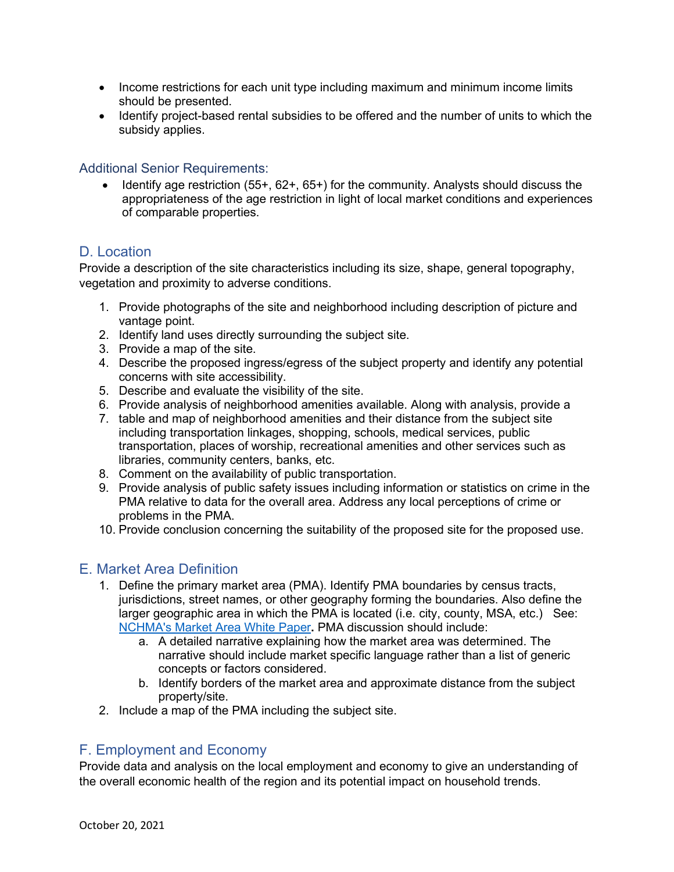- Income restrictions for each unit type including maximum and minimum income limits should be presented.
- Identify project-based rental subsidies to be offered and the number of units to which the subsidy applies.

## Additional Senior Requirements:

• Identify age restriction (55+, 62+, 65+) for the community. Analysts should discuss the appropriateness of the age restriction in light of local market conditions and experiences of comparable properties.

# D. Location

Provide a description of the site characteristics including its size, shape, general topography, vegetation and proximity to adverse conditions.

- 1. Provide photographs of the site and neighborhood including description of picture and vantage point.
- 2. Identify land uses directly surrounding the subject site.
- 3. Provide a map of the site.
- 4. Describe the proposed ingress/egress of the subject property and identify any potential concerns with site accessibility.
- 5. Describe and evaluate the visibility of the site.
- 6. Provide analysis of neighborhood amenities available. Along with analysis, provide a
- 7. table and map of neighborhood amenities and their distance from the subject site including transportation linkages, shopping, schools, medical services, public transportation, places of worship, recreational amenities and other services such as libraries, community centers, banks, etc.
- 8. Comment on the availability of public transportation.
- 9. Provide analysis of public safety issues including information or statistics on crime in the PMA relative to data for the overall area. Address any local perceptions of crime or problems in the PMA.
- 10. Provide conclusion concerning the suitability of the proposed site for the proposed use.

# E. Market Area Definition

- 1. Define the primary market area (PMA). Identify PMA boundaries by census tracts, jurisdictions, street names, or other geography forming the boundaries. Also define the larger geographic area in which the PMA is located (i.e. city, county, MSA, etc.) See: [NCHMA's Market Area White Paper](https://www.housingonline.com/councils/national-council-housing-market-analysts/resources/white-papers/white-paper-determining-market-area/)**.** PMA discussion should include:
	- a. A detailed narrative explaining how the market area was determined. The narrative should include market specific language rather than a list of generic concepts or factors considered.
	- b. Identify borders of the market area and approximate distance from the subject property/site.
- 2. Include a map of the PMA including the subject site.

# F. Employment and Economy

Provide data and analysis on the local employment and economy to give an understanding of the overall economic health of the region and its potential impact on household trends.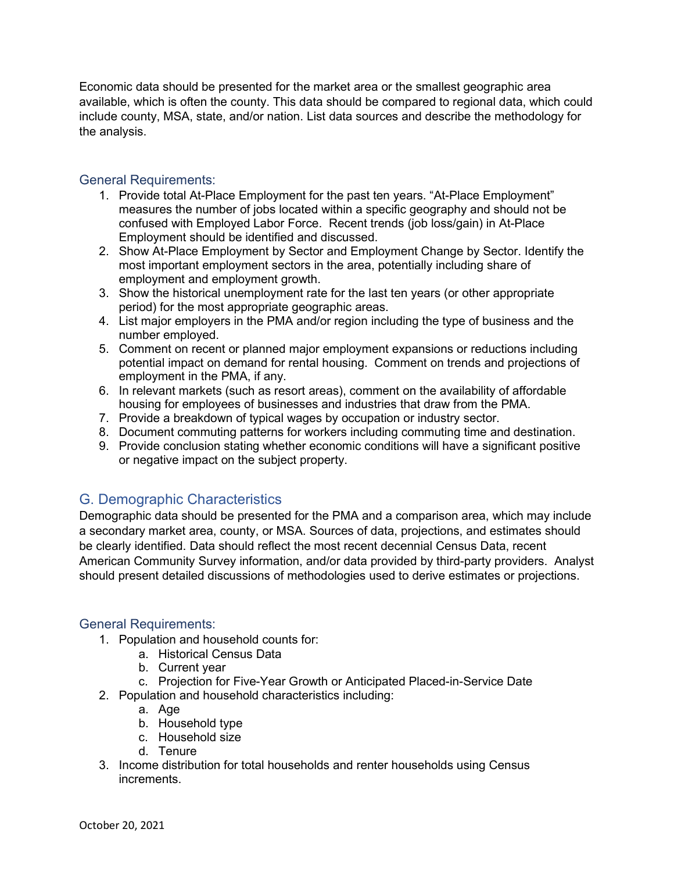Economic data should be presented for the market area or the smallest geographic area available, which is often the county. This data should be compared to regional data, which could include county, MSA, state, and/or nation. List data sources and describe the methodology for the analysis.

## General Requirements:

- 1. Provide total At-Place Employment for the past ten years. "At-Place Employment" measures the number of jobs located within a specific geography and should not be confused with Employed Labor Force. Recent trends (job loss/gain) in At-Place Employment should be identified and discussed.
- 2. Show At-Place Employment by Sector and Employment Change by Sector. Identify the most important employment sectors in the area, potentially including share of employment and employment growth.
- 3. Show the historical unemployment rate for the last ten years (or other appropriate period) for the most appropriate geographic areas.
- 4. List major employers in the PMA and/or region including the type of business and the number employed.
- 5. Comment on recent or planned major employment expansions or reductions including potential impact on demand for rental housing. Comment on trends and projections of employment in the PMA, if any.
- 6. In relevant markets (such as resort areas), comment on the availability of affordable housing for employees of businesses and industries that draw from the PMA.
- 7. Provide a breakdown of typical wages by occupation or industry sector.
- 8. Document commuting patterns for workers including commuting time and destination.
- 9. Provide conclusion stating whether economic conditions will have a significant positive or negative impact on the subject property.

# G. Demographic Characteristics

Demographic data should be presented for the PMA and a comparison area, which may include a secondary market area, county, or MSA. Sources of data, projections, and estimates should be clearly identified. Data should reflect the most recent decennial Census Data, recent American Community Survey information, and/or data provided by third-party providers. Analyst should present detailed discussions of methodologies used to derive estimates or projections.

#### General Requirements:

- 1. Population and household counts for:
	- a. Historical Census Data
	- b. Current year
	- c. Projection for Five-Year Growth or Anticipated Placed-in-Service Date
- 2. Population and household characteristics including:
	- a. Age
	- b. Household type
	- c. Household size
	- d. Tenure
- 3. Income distribution for total households and renter households using Census increments.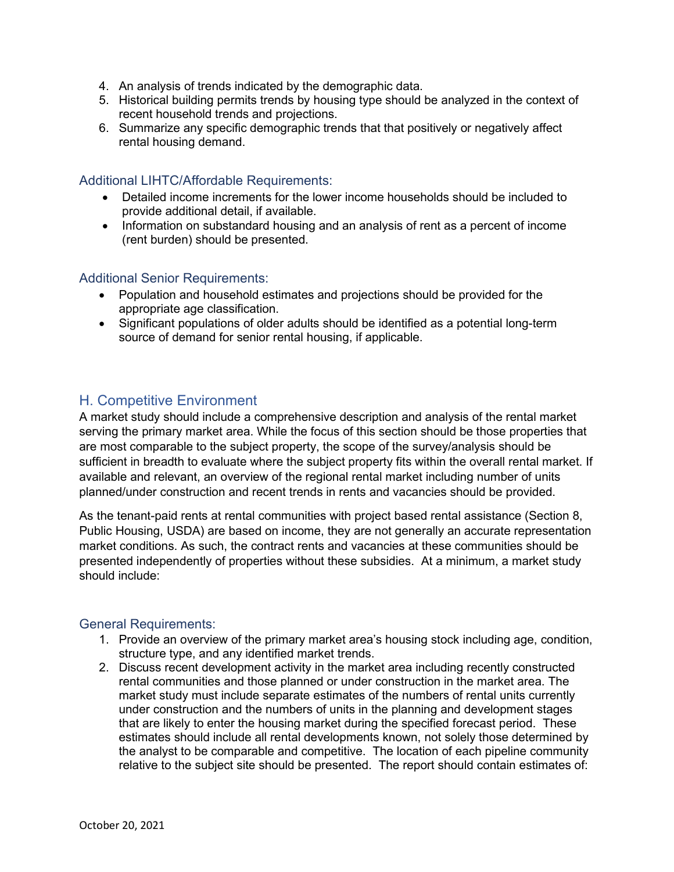- 4. An analysis of trends indicated by the demographic data.
- 5. Historical building permits trends by housing type should be analyzed in the context of recent household trends and projections.
- 6. Summarize any specific demographic trends that that positively or negatively affect rental housing demand.

#### Additional LIHTC/Affordable Requirements:

- Detailed income increments for the lower income households should be included to provide additional detail, if available.
- Information on substandard housing and an analysis of rent as a percent of income (rent burden) should be presented.

#### Additional Senior Requirements:

- Population and household estimates and projections should be provided for the appropriate age classification.
- Significant populations of older adults should be identified as a potential long-term source of demand for senior rental housing, if applicable.

## H. Competitive Environment

A market study should include a comprehensive description and analysis of the rental market serving the primary market area. While the focus of this section should be those properties that are most comparable to the subject property, the scope of the survey/analysis should be sufficient in breadth to evaluate where the subject property fits within the overall rental market. If available and relevant, an overview of the regional rental market including number of units planned/under construction and recent trends in rents and vacancies should be provided.

As the tenant-paid rents at rental communities with project based rental assistance (Section 8, Public Housing, USDA) are based on income, they are not generally an accurate representation market conditions. As such, the contract rents and vacancies at these communities should be presented independently of properties without these subsidies. At a minimum, a market study should include:

#### General Requirements:

- 1. Provide an overview of the primary market area's housing stock including age, condition, structure type, and any identified market trends.
- 2. Discuss recent development activity in the market area including recently constructed rental communities and those planned or under construction in the market area. The market study must include separate estimates of the numbers of rental units currently under construction and the numbers of units in the planning and development stages that are likely to enter the housing market during the specified forecast period. These estimates should include all rental developments known, not solely those determined by the analyst to be comparable and competitive. The location of each pipeline community relative to the subject site should be presented. The report should contain estimates of: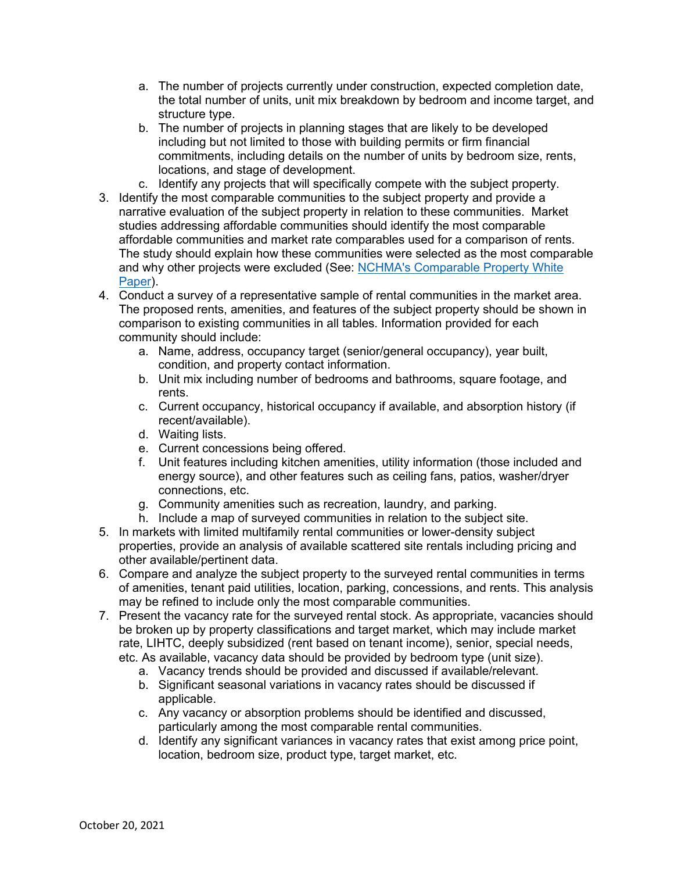- a. The number of projects currently under construction, expected completion date, the total number of units, unit mix breakdown by bedroom and income target, and structure type.
- b. The number of projects in planning stages that are likely to be developed including but not limited to those with building permits or firm financial commitments, including details on the number of units by bedroom size, rents, locations, and stage of development.
- c. Identify any projects that will specifically compete with the subject property.
- 3. Identify the most comparable communities to the subject property and provide a narrative evaluation of the subject property in relation to these communities. Market studies addressing affordable communities should identify the most comparable affordable communities and market rate comparables used for a comparison of rents. The study should explain how these communities were selected as the most comparable and why other projects were excluded (See: [NCHMA's Comparable Property White](https://www.housingonline.com/councils/national-council-housing-market-analysts/resources/white-papers/selecting-comparable-properties/)  [Paper\)](https://www.housingonline.com/councils/national-council-housing-market-analysts/resources/white-papers/selecting-comparable-properties/).
- 4. Conduct a survey of a representative sample of rental communities in the market area. The proposed rents, amenities, and features of the subject property should be shown in comparison to existing communities in all tables. Information provided for each community should include:
	- a. Name, address, occupancy target (senior/general occupancy), year built, condition, and property contact information.
	- b. Unit mix including number of bedrooms and bathrooms, square footage, and rents.
	- c. Current occupancy, historical occupancy if available, and absorption history (if recent/available).
	- d. Waiting lists.
	- e. Current concessions being offered.
	- f. Unit features including kitchen amenities, utility information (those included and energy source), and other features such as ceiling fans, patios, washer/dryer connections, etc.
	- g. Community amenities such as recreation, laundry, and parking.
	- h. Include a map of surveyed communities in relation to the subject site.
- 5. In markets with limited multifamily rental communities or lower-density subject properties, provide an analysis of available scattered site rentals including pricing and other available/pertinent data.
- 6. Compare and analyze the subject property to the surveyed rental communities in terms of amenities, tenant paid utilities, location, parking, concessions, and rents. This analysis may be refined to include only the most comparable communities.
- 7. Present the vacancy rate for the surveyed rental stock. As appropriate, vacancies should be broken up by property classifications and target market, which may include market rate, LIHTC, deeply subsidized (rent based on tenant income), senior, special needs, etc. As available, vacancy data should be provided by bedroom type (unit size).
	- a. Vacancy trends should be provided and discussed if available/relevant.
	- b. Significant seasonal variations in vacancy rates should be discussed if applicable.
	- c. Any vacancy or absorption problems should be identified and discussed, particularly among the most comparable rental communities.
	- d. Identify any significant variances in vacancy rates that exist among price point, location, bedroom size, product type, target market, etc.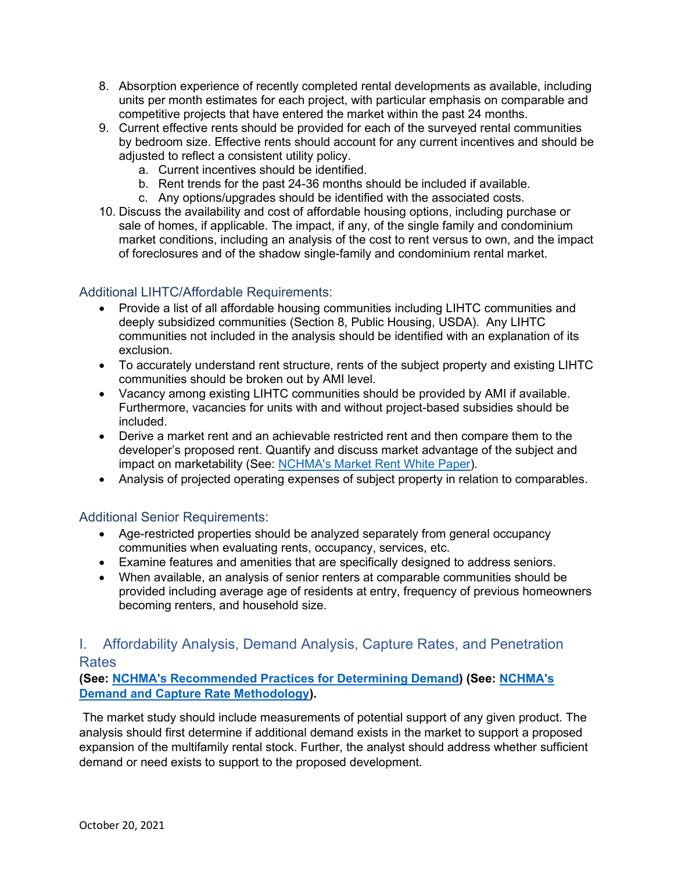- 8. Absorption experience of recently completed rental developments as available, including units per month estimates for each project, with particular emphasis on comparable and competitive projects that have entered the market within the past 24 months.
- 9. Current effective rents should be provided for each of the surveyed rental communities by bedroom size. Effective rents should account for any current incentives and should be adjusted to reflect a consistent utility policy.
	- a. Current incentives should be identified.
	- b. Rent trends for the past 24-36 months should be included if available.
	- c. Any options/upgrades should be identified with the associated costs.
- 10. Discuss the availability and cost of affordable housing options, including purchase or sale of homes, if applicable. The impact, if any, of the single family and condominium market conditions, including an analysis of the cost to rent versus to own, and the impact of foreclosures and of the shadow single-family and condominium rental market.

## Additional LIHTC/Affordable Requirements:

- Provide a list of all affordable housing communities including LIHTC communities and deeply subsidized communities (Section 8, Public Housing, USDA). Any LIHTC communities not included in the analysis should be identified with an explanation of its exclusion.
- To accurately understand rent structure, rents of the subject property and existing LIHTC communities should be broken out by AMI level.
- Vacancy among existing LIHTC communities should be provided by AMI if available. Furthermore, vacancies for units with and without project-based subsidies should be included.
- Derive a market rent and an achievable restricted rent and then compare them to the developer's proposed rent. Quantify and discuss market advantage of the subject and impact on marketability (See: [NCHMA's Market Rent White Paper\)](https://www.housingonline.com/councils/national-council-housing-market-analysts/resources/white-papers/calculating-market-rent/).
- Analysis of projected operating expenses of subject property in relation to comparables.

## Additional Senior Requirements:

- Age-restricted properties should be analyzed separately from general occupancy communities when evaluating rents, occupancy, services, etc.
- Examine features and amenities that are specifically designed to address seniors.
- When available, an analysis of senior renters at comparable communities should be provided including average age of residents at entry, frequency of previous homeowners becoming renters, and household size.

# I. Affordability Analysis, Demand Analysis, Capture Rates, and Penetration **Rates**

**(See: [NCHMA's Recommended Practices for Determining Demand\)](https://www.housingonline.com/councils/national-council-housing-market-analysts/resources/white-papers/recommended-practices-determining-demand/) (See: [NCHMA's](https://www.housingonline.com/councils/national-council-housing-market-analysts/resources/white-papers/demand-capture-rate-methodologies/)  [Demand and Capture Rate Methodology\)](https://www.housingonline.com/councils/national-council-housing-market-analysts/resources/white-papers/demand-capture-rate-methodologies/).** 

The market study should include measurements of potential support of any given product. The analysis should first determine if additional demand exists in the market to support a proposed expansion of the multifamily rental stock. Further, the analyst should address whether sufficient demand or need exists to support to the proposed development.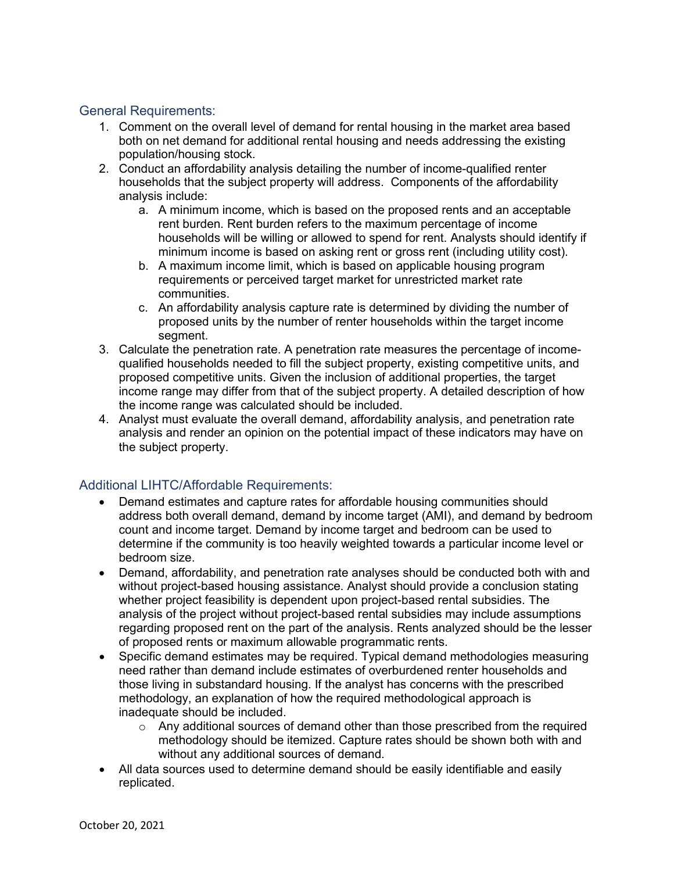### General Requirements:

- 1. Comment on the overall level of demand for rental housing in the market area based both on net demand for additional rental housing and needs addressing the existing population/housing stock.
- 2. Conduct an affordability analysis detailing the number of income-qualified renter households that the subject property will address. Components of the affordability analysis include:
	- a. A minimum income, which is based on the proposed rents and an acceptable rent burden. Rent burden refers to the maximum percentage of income households will be willing or allowed to spend for rent. Analysts should identify if minimum income is based on asking rent or gross rent (including utility cost).
	- b. A maximum income limit, which is based on applicable housing program requirements or perceived target market for unrestricted market rate communities.
	- c. An affordability analysis capture rate is determined by dividing the number of proposed units by the number of renter households within the target income segment.
- 3. Calculate the penetration rate. A penetration rate measures the percentage of incomequalified households needed to fill the subject property, existing competitive units, and proposed competitive units. Given the inclusion of additional properties, the target income range may differ from that of the subject property. A detailed description of how the income range was calculated should be included.
- 4. Analyst must evaluate the overall demand, affordability analysis, and penetration rate analysis and render an opinion on the potential impact of these indicators may have on the subject property.

## Additional LIHTC/Affordable Requirements:

- Demand estimates and capture rates for affordable housing communities should address both overall demand, demand by income target (AMI), and demand by bedroom count and income target. Demand by income target and bedroom can be used to determine if the community is too heavily weighted towards a particular income level or bedroom size.
- Demand, affordability, and penetration rate analyses should be conducted both with and without project-based housing assistance. Analyst should provide a conclusion stating whether project feasibility is dependent upon project-based rental subsidies. The analysis of the project without project-based rental subsidies may include assumptions regarding proposed rent on the part of the analysis. Rents analyzed should be the lesser of proposed rents or maximum allowable programmatic rents.
- Specific demand estimates may be required. Typical demand methodologies measuring need rather than demand include estimates of overburdened renter households and those living in substandard housing. If the analyst has concerns with the prescribed methodology, an explanation of how the required methodological approach is inadequate should be included.
	- o Any additional sources of demand other than those prescribed from the required methodology should be itemized. Capture rates should be shown both with and without any additional sources of demand.
- All data sources used to determine demand should be easily identifiable and easily replicated.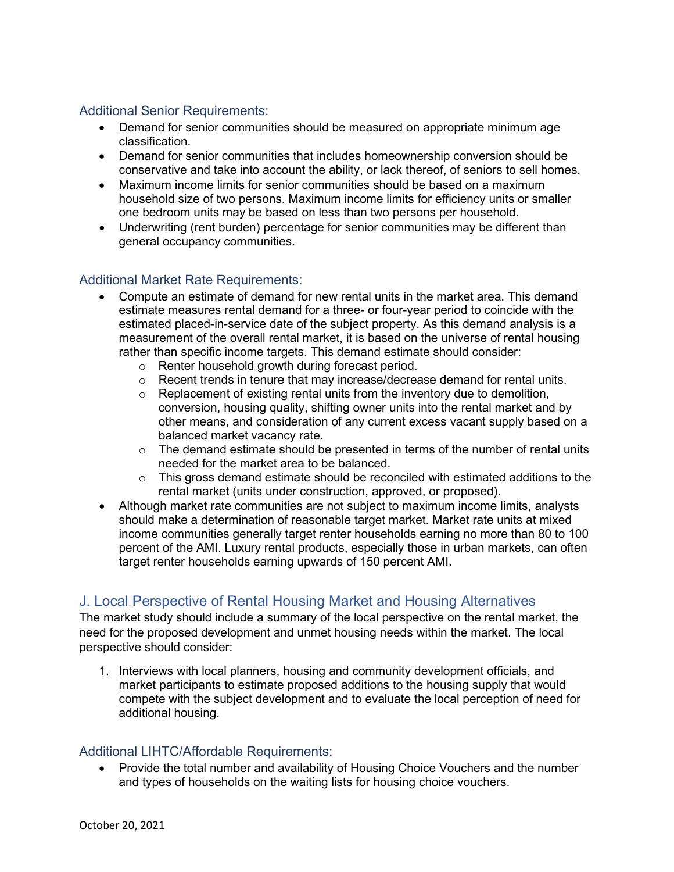## Additional Senior Requirements:

- Demand for senior communities should be measured on appropriate minimum age classification.
- Demand for senior communities that includes homeownership conversion should be conservative and take into account the ability, or lack thereof, of seniors to sell homes.
- Maximum income limits for senior communities should be based on a maximum household size of two persons. Maximum income limits for efficiency units or smaller one bedroom units may be based on less than two persons per household.
- Underwriting (rent burden) percentage for senior communities may be different than general occupancy communities.

## Additional Market Rate Requirements:

- Compute an estimate of demand for new rental units in the market area. This demand estimate measures rental demand for a three- or four-year period to coincide with the estimated placed-in-service date of the subject property. As this demand analysis is a measurement of the overall rental market, it is based on the universe of rental housing rather than specific income targets. This demand estimate should consider:
	- o Renter household growth during forecast period.
	- $\circ$  Recent trends in tenure that may increase/decrease demand for rental units.
	- o Replacement of existing rental units from the inventory due to demolition, conversion, housing quality, shifting owner units into the rental market and by other means, and consideration of any current excess vacant supply based on a balanced market vacancy rate.
	- $\circ$  The demand estimate should be presented in terms of the number of rental units needed for the market area to be balanced.
	- o This gross demand estimate should be reconciled with estimated additions to the rental market (units under construction, approved, or proposed).
- Although market rate communities are not subject to maximum income limits, analysts should make a determination of reasonable target market. Market rate units at mixed income communities generally target renter households earning no more than 80 to 100 percent of the AMI. Luxury rental products, especially those in urban markets, can often target renter households earning upwards of 150 percent AMI.

# J. Local Perspective of Rental Housing Market and Housing Alternatives

The market study should include a summary of the local perspective on the rental market, the need for the proposed development and unmet housing needs within the market. The local perspective should consider:

1. Interviews with local planners, housing and community development officials, and market participants to estimate proposed additions to the housing supply that would compete with the subject development and to evaluate the local perception of need for additional housing.

## Additional LIHTC/Affordable Requirements:

• Provide the total number and availability of Housing Choice Vouchers and the number and types of households on the waiting lists for housing choice vouchers.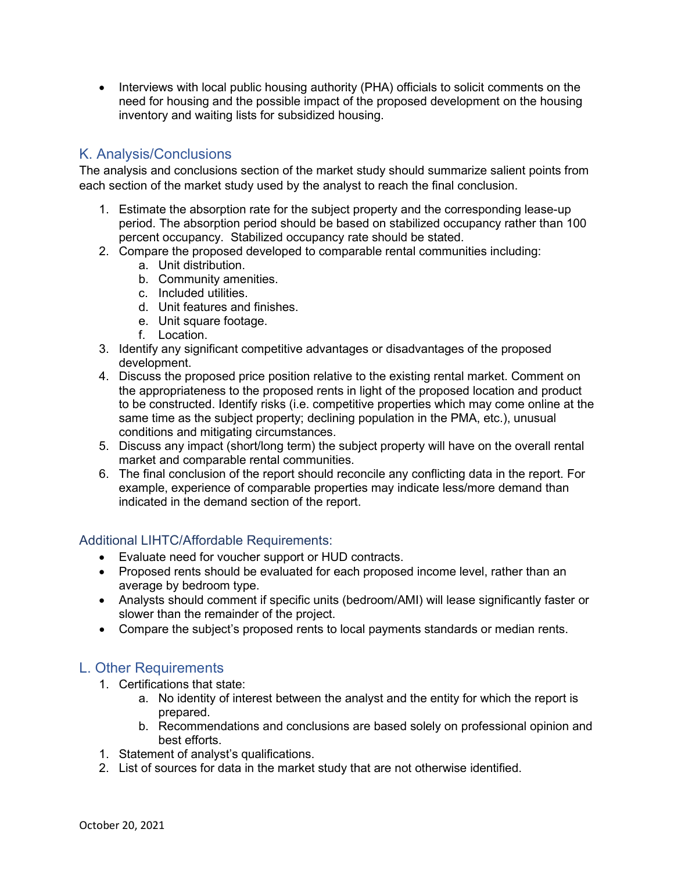• Interviews with local public housing authority (PHA) officials to solicit comments on the need for housing and the possible impact of the proposed development on the housing inventory and waiting lists for subsidized housing.

# K. Analysis/Conclusions

The analysis and conclusions section of the market study should summarize salient points from each section of the market study used by the analyst to reach the final conclusion.

- 1. Estimate the absorption rate for the subject property and the corresponding lease-up period. The absorption period should be based on stabilized occupancy rather than 100 percent occupancy. Stabilized occupancy rate should be stated.
- 2. Compare the proposed developed to comparable rental communities including:
	- a. Unit distribution.
	- b. Community amenities.
	- c. Included utilities.
	- d. Unit features and finishes.
	- e. Unit square footage.
	- f. Location.
- 3. Identify any significant competitive advantages or disadvantages of the proposed development.
- 4. Discuss the proposed price position relative to the existing rental market. Comment on the appropriateness to the proposed rents in light of the proposed location and product to be constructed. Identify risks (i.e. competitive properties which may come online at the same time as the subject property; declining population in the PMA, etc.), unusual conditions and mitigating circumstances.
- 5. Discuss any impact (short/long term) the subject property will have on the overall rental market and comparable rental communities.
- 6. The final conclusion of the report should reconcile any conflicting data in the report. For example, experience of comparable properties may indicate less/more demand than indicated in the demand section of the report.

## Additional LIHTC/Affordable Requirements:

- Evaluate need for voucher support or HUD contracts.
- Proposed rents should be evaluated for each proposed income level, rather than an average by bedroom type.
- Analysts should comment if specific units (bedroom/AMI) will lease significantly faster or slower than the remainder of the project.
- Compare the subject's proposed rents to local payments standards or median rents.

## L. Other Requirements

- 1. Certifications that state:
	- a. No identity of interest between the analyst and the entity for which the report is prepared.
	- b. Recommendations and conclusions are based solely on professional opinion and best efforts.
- 1. Statement of analyst's qualifications.
- 2. List of sources for data in the market study that are not otherwise identified.